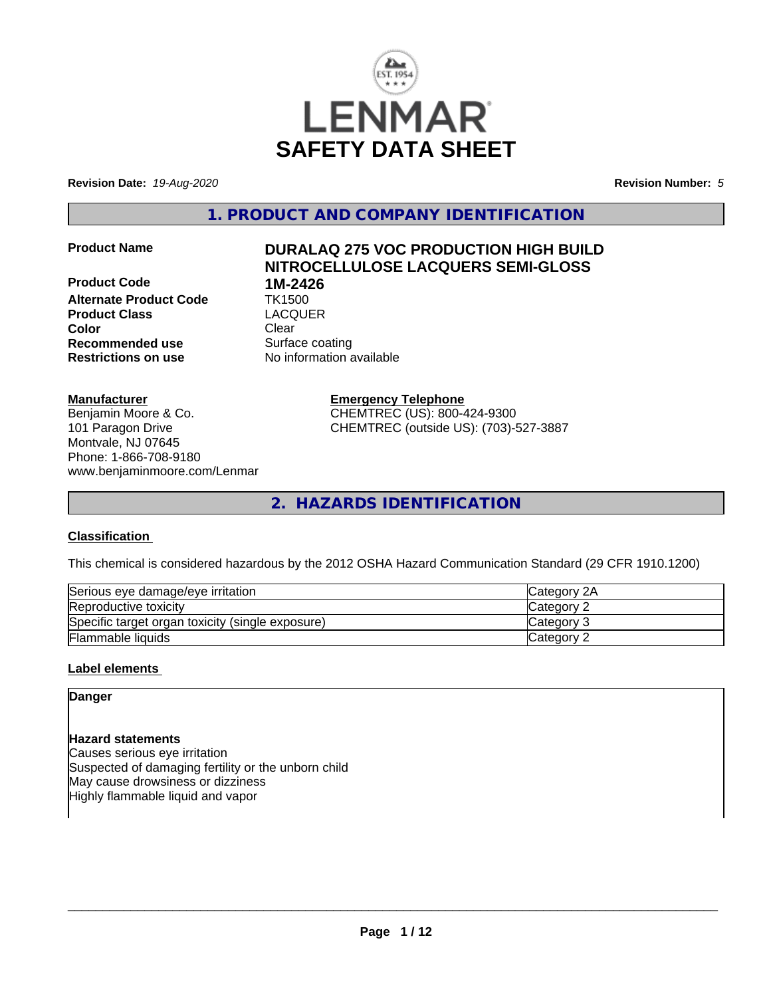

**Revision Date:** *19-Aug-2020* **Revision Number:** *5*

**1. PRODUCT AND COMPANY IDENTIFICATION**

**Product Code 1M-2426 Alternate Product Code TK1500<br>Product Class Code CLACQUER Product Class Color** Clear Clear **Recommended use** Surface coating **Restrictions on use** No information available

# **Product Name DURALAQ 275 VOC PRODUCTION HIGH BUILD NITROCELLULOSE LACQUERS SEMI-GLOSS**

#### **Manufacturer**

Benjamin Moore & Co. 101 Paragon Drive Montvale, NJ 07645 Phone: 1-866-708-9180 www.benjaminmoore.com/Lenmar **Emergency Telephone** CHEMTREC (US): 800-424-9300 CHEMTREC (outside US): (703)-527-3887

**2. HAZARDS IDENTIFICATION**

# **Classification**

This chemical is considered hazardous by the 2012 OSHA Hazard Communication Standard (29 CFR 1910.1200)

| Serious eye damage/eye irritation                | <b>Category 2A</b> |
|--------------------------------------------------|--------------------|
| Reproductive toxicity                            | <b>Category 2</b>  |
| Specific target organ toxicity (single exposure) | <b>Category 3</b>  |
| Flammable liquids                                | Category 2         |

# **Label elements**

**Danger**

# **Hazard statements**

Causes serious eye irritation Suspected of damaging fertility or the unborn child May cause drowsiness or dizziness Highly flammable liquid and vapor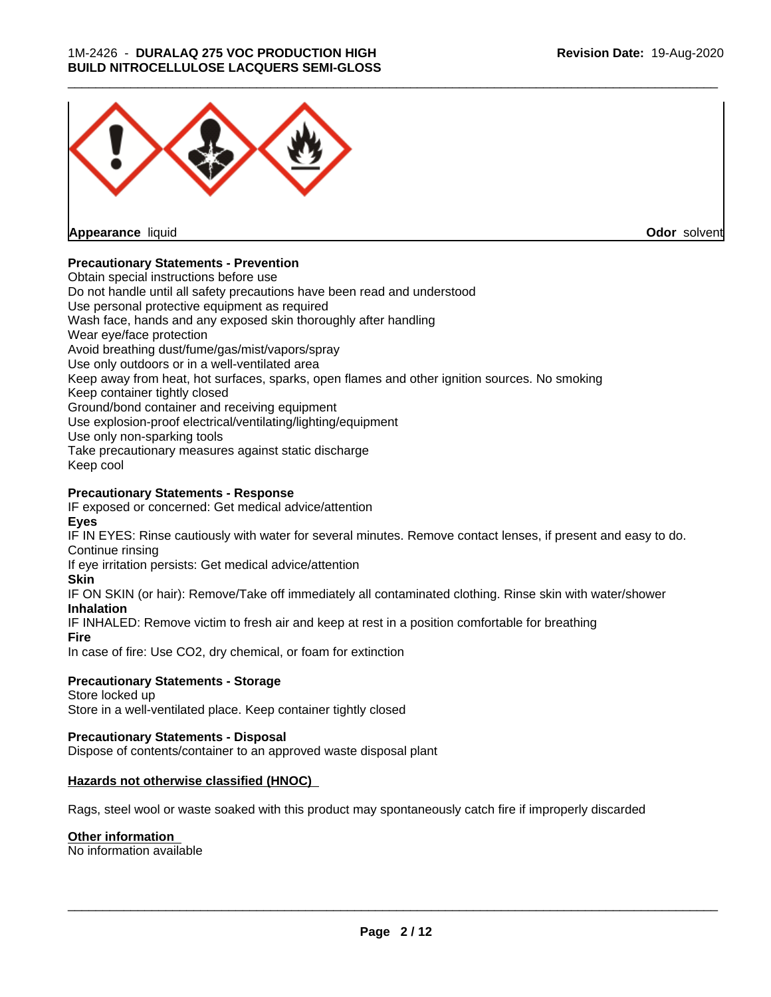# 1M-2426 - **DURALAQ 275 VOC PRODUCTION HIGH BUILD NITROCELLULOSE LACQUERS SEMI-GLOSS**



**Appearance** liquid

**Odor** solvent

# **Precautionary Statements - Prevention**

Obtain special instructions before use Do not handle until all safety precautions have been read and understood Use personal protective equipment as required Wash face, hands and any exposed skin thoroughly after handling Wear eye/face protection Avoid breathing dust/fume/gas/mist/vapors/spray Use only outdoors or in a well-ventilated area Keep away from heat, hot surfaces, sparks, open flames and other ignition sources. No smoking Keep container tightly closed Ground/bond container and receiving equipment Use explosion-proof electrical/ventilating/lighting/equipment Use only non-sparking tools Take precautionary measures against static discharge Keep cool

# **Precautionary Statements - Response**

IF exposed or concerned: Get medical advice/attention **Eyes**

IF IN EYES: Rinse cautiously with water for several minutes. Remove contact lenses, if present and easy to do. Continue rinsing

If eye irritation persists: Get medical advice/attention

# **Skin**

IF ON SKIN (or hair): Remove/Take off immediately all contaminated clothing. Rinse skin with water/shower **Inhalation**

IF INHALED: Remove victim to fresh air and keep at rest in a position comfortable for breathing

# **Fire**

In case of fire: Use CO2, dry chemical, or foam for extinction

# **Precautionary Statements - Storage**

Store locked up Store in a well-ventilated place. Keep container tightly closed

# **Precautionary Statements - Disposal**

Dispose of contents/container to an approved waste disposal plant

# **Hazards not otherwise classified (HNOC)**

Rags, steel wool or waste soaked with this product may spontaneously catch fire if improperly discarded

# **Other information**

No information available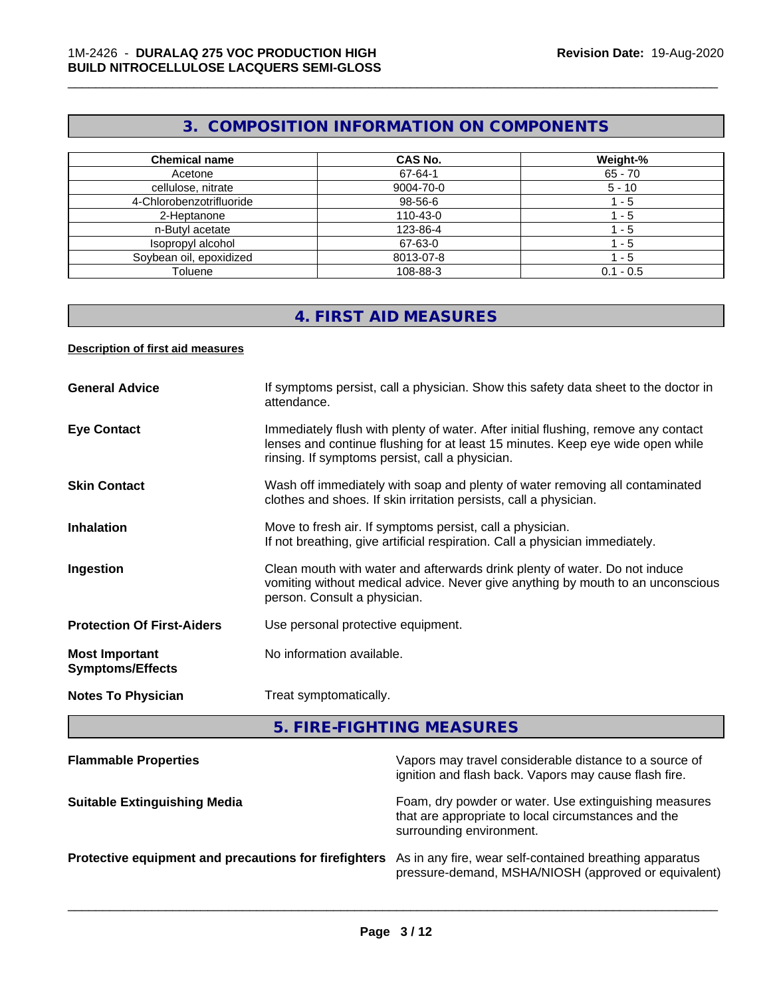# **3. COMPOSITION INFORMATION ON COMPONENTS**

\_\_\_\_\_\_\_\_\_\_\_\_\_\_\_\_\_\_\_\_\_\_\_\_\_\_\_\_\_\_\_\_\_\_\_\_\_\_\_\_\_\_\_\_\_\_\_\_\_\_\_\_\_\_\_\_\_\_\_\_\_\_\_\_\_\_\_\_\_\_\_\_\_\_\_\_\_\_\_\_\_\_\_\_\_\_\_\_\_\_\_\_\_

| <b>Chemical name</b>     | <b>CAS No.</b> | Weight-%    |
|--------------------------|----------------|-------------|
| Acetone                  | 67-64-1        | $65 - 70$   |
| cellulose, nitrate       | 9004-70-0      | $5 - 10$    |
| 4-Chlorobenzotrifluoride | 98-56-6        | - 5         |
| 2-Heptanone              | 110-43-0       | - 5         |
| n-Butyl acetate          | 123-86-4       | - 5         |
| Isopropyl alcohol        | 67-63-0        | - 5         |
| Soybean oil, epoxidized  | 8013-07-8      | - 5         |
| Toluene                  | 108-88-3       | $0.1 - 0.5$ |

# **4. FIRST AID MEASURES**

#### **Description of first aid measures**

| <b>General Advice</b>                            | If symptoms persist, call a physician. Show this safety data sheet to the doctor in<br>attendance.                                                                                                                      |
|--------------------------------------------------|-------------------------------------------------------------------------------------------------------------------------------------------------------------------------------------------------------------------------|
| <b>Eye Contact</b>                               | Immediately flush with plenty of water. After initial flushing, remove any contact<br>lenses and continue flushing for at least 15 minutes. Keep eye wide open while<br>rinsing. If symptoms persist, call a physician. |
| <b>Skin Contact</b>                              | Wash off immediately with soap and plenty of water removing all contaminated<br>clothes and shoes. If skin irritation persists, call a physician.                                                                       |
| <b>Inhalation</b>                                | Move to fresh air. If symptoms persist, call a physician.<br>If not breathing, give artificial respiration. Call a physician immediately.                                                                               |
| Ingestion                                        | Clean mouth with water and afterwards drink plenty of water. Do not induce<br>vomiting without medical advice. Never give anything by mouth to an unconscious<br>person. Consult a physician.                           |
| <b>Protection Of First-Aiders</b>                | Use personal protective equipment.                                                                                                                                                                                      |
| <b>Most Important</b><br><b>Symptoms/Effects</b> | No information available.                                                                                                                                                                                               |
| <b>Notes To Physician</b>                        | Treat symptomatically.                                                                                                                                                                                                  |

**5. FIRE-FIGHTING MEASURES**

| <b>Flammable Properties</b>                           | Vapors may travel considerable distance to a source of<br>ignition and flash back. Vapors may cause flash fire.                          |
|-------------------------------------------------------|------------------------------------------------------------------------------------------------------------------------------------------|
| <b>Suitable Extinguishing Media</b>                   | Foam, dry powder or water. Use extinguishing measures<br>that are appropriate to local circumstances and the<br>surrounding environment. |
| Protective equipment and precautions for firefighters | As in any fire, wear self-contained breathing apparatus<br>pressure-demand, MSHA/NIOSH (approved or equivalent)                          |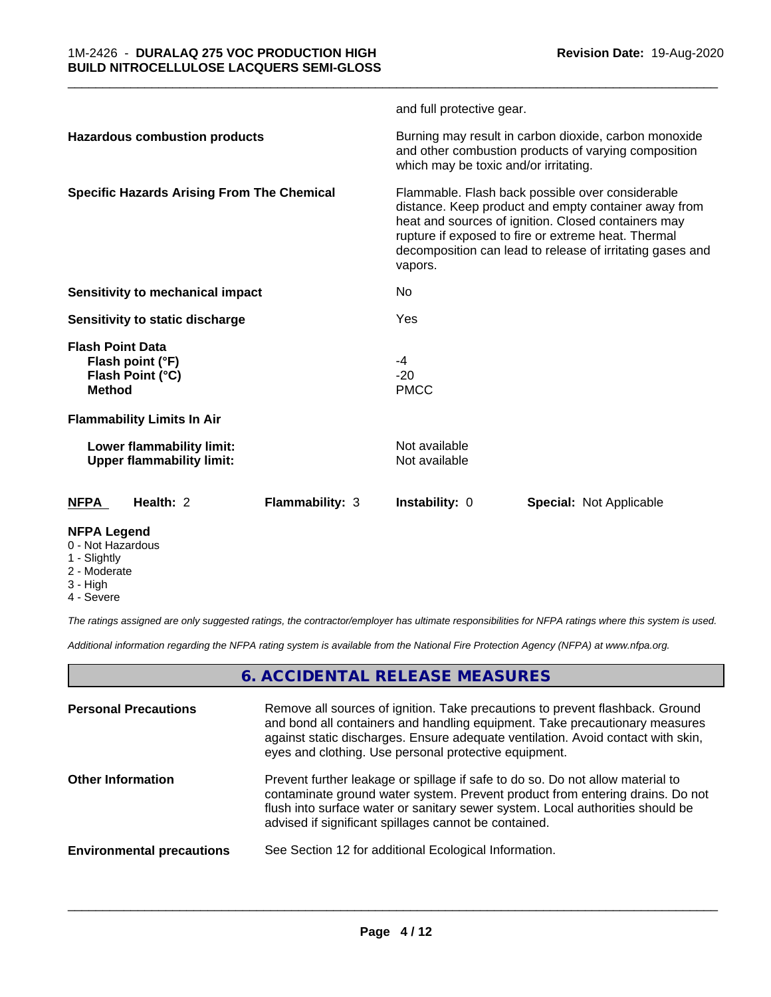|                                                                                  | and full protective gear.                                                                                                                                                                                                                                                                      |
|----------------------------------------------------------------------------------|------------------------------------------------------------------------------------------------------------------------------------------------------------------------------------------------------------------------------------------------------------------------------------------------|
| <b>Hazardous combustion products</b>                                             | Burning may result in carbon dioxide, carbon monoxide<br>and other combustion products of varying composition<br>which may be toxic and/or irritating.                                                                                                                                         |
| <b>Specific Hazards Arising From The Chemical</b>                                | Flammable. Flash back possible over considerable<br>distance. Keep product and empty container away from<br>heat and sources of ignition. Closed containers may<br>rupture if exposed to fire or extreme heat. Thermal<br>decomposition can lead to release of irritating gases and<br>vapors. |
| Sensitivity to mechanical impact                                                 | No.                                                                                                                                                                                                                                                                                            |
| Sensitivity to static discharge                                                  | Yes                                                                                                                                                                                                                                                                                            |
| <b>Flash Point Data</b><br>Flash point (°F)<br>Flash Point (°C)<br><b>Method</b> | -4<br>$-20$<br><b>PMCC</b>                                                                                                                                                                                                                                                                     |
| <b>Flammability Limits In Air</b>                                                |                                                                                                                                                                                                                                                                                                |
| Lower flammability limit:<br><b>Upper flammability limit:</b>                    | Not available<br>Not available                                                                                                                                                                                                                                                                 |
| <b>NFPA</b><br>Health: 2<br><b>Flammability: 3</b>                               | Instability: 0<br><b>Special: Not Applicable</b>                                                                                                                                                                                                                                               |
| <b>NFPA Legend</b><br>0 - Not Hazardous                                          |                                                                                                                                                                                                                                                                                                |

- 1 Slightly
- 2 Moderate
- 3 High
- 4 Severe

*The ratings assigned are only suggested ratings, the contractor/employer has ultimate responsibilities for NFPA ratings where this system is used.*

*Additional information regarding the NFPA rating system is available from the National Fire Protection Agency (NFPA) at www.nfpa.org.*

# **6. ACCIDENTAL RELEASE MEASURES**

| <b>Personal Precautions</b>      | Remove all sources of ignition. Take precautions to prevent flashback. Ground<br>and bond all containers and handling equipment. Take precautionary measures<br>against static discharges. Ensure adequate ventilation. Avoid contact with skin,<br>eyes and clothing. Use personal protective equipment.  |
|----------------------------------|------------------------------------------------------------------------------------------------------------------------------------------------------------------------------------------------------------------------------------------------------------------------------------------------------------|
| <b>Other Information</b>         | Prevent further leakage or spillage if safe to do so. Do not allow material to<br>contaminate ground water system. Prevent product from entering drains. Do not<br>flush into surface water or sanitary sewer system. Local authorities should be<br>advised if significant spillages cannot be contained. |
| <b>Environmental precautions</b> | See Section 12 for additional Ecological Information.                                                                                                                                                                                                                                                      |
|                                  |                                                                                                                                                                                                                                                                                                            |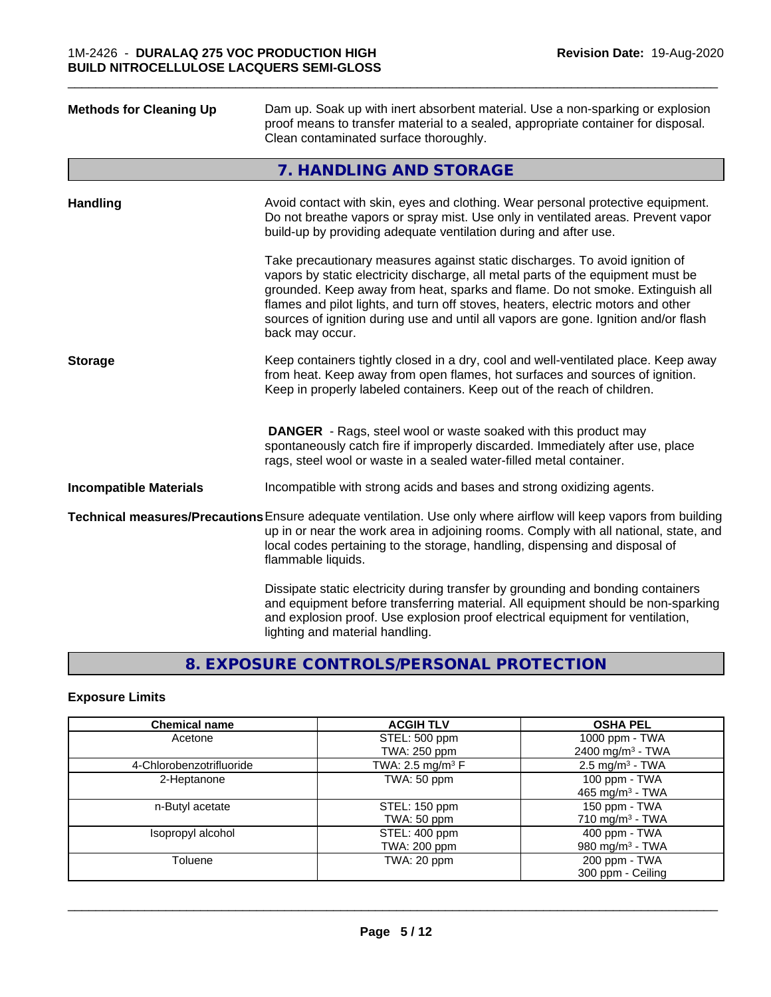| <b>Methods for Cleaning Up</b> | Dam up. Soak up with inert absorbent material. Use a non-sparking or explosion<br>proof means to transfer material to a sealed, appropriate container for disposal.<br>Clean contaminated surface thoroughly.                                                                                                                                                                                                                                  |
|--------------------------------|------------------------------------------------------------------------------------------------------------------------------------------------------------------------------------------------------------------------------------------------------------------------------------------------------------------------------------------------------------------------------------------------------------------------------------------------|
|                                | 7. HANDLING AND STORAGE                                                                                                                                                                                                                                                                                                                                                                                                                        |
| <b>Handling</b>                | Avoid contact with skin, eyes and clothing. Wear personal protective equipment.<br>Do not breathe vapors or spray mist. Use only in ventilated areas. Prevent vapor<br>build-up by providing adequate ventilation during and after use.                                                                                                                                                                                                        |
|                                | Take precautionary measures against static discharges. To avoid ignition of<br>vapors by static electricity discharge, all metal parts of the equipment must be<br>grounded. Keep away from heat, sparks and flame. Do not smoke. Extinguish all<br>flames and pilot lights, and turn off stoves, heaters, electric motors and other<br>sources of ignition during use and until all vapors are gone. Ignition and/or flash<br>back may occur. |
| <b>Storage</b>                 | Keep containers tightly closed in a dry, cool and well-ventilated place. Keep away<br>from heat. Keep away from open flames, hot surfaces and sources of ignition.<br>Keep in properly labeled containers. Keep out of the reach of children.                                                                                                                                                                                                  |
|                                | <b>DANGER</b> - Rags, steel wool or waste soaked with this product may<br>spontaneously catch fire if improperly discarded. Immediately after use, place<br>rags, steel wool or waste in a sealed water-filled metal container.                                                                                                                                                                                                                |
| <b>Incompatible Materials</b>  | Incompatible with strong acids and bases and strong oxidizing agents.                                                                                                                                                                                                                                                                                                                                                                          |
|                                | Technical measures/Precautions Ensure adequate ventilation. Use only where airflow will keep vapors from building<br>up in or near the work area in adjoining rooms. Comply with all national, state, and<br>local codes pertaining to the storage, handling, dispensing and disposal of<br>flammable liquids.                                                                                                                                 |
|                                | Dissipate static electricity during transfer by grounding and bonding containers<br>and equipment before transferring material. All equipment should be non-sparking<br>and explosion proof. Use explosion proof electrical equipment for ventilation,<br>lighting and material handling.                                                                                                                                                      |
|                                |                                                                                                                                                                                                                                                                                                                                                                                                                                                |

# **8. EXPOSURE CONTROLS/PERSONAL PROTECTION**

# **Exposure Limits**

| <b>Chemical name</b>     | <b>ACGIH TLV</b>               | <b>OSHA PEL</b>              |
|--------------------------|--------------------------------|------------------------------|
| Acetone                  | STEL: 500 ppm                  | 1000 ppm - TWA               |
|                          | TWA: 250 ppm                   | 2400 mg/m <sup>3</sup> - TWA |
| 4-Chlorobenzotrifluoride | TWA: 2.5 mg/m <sup>3</sup> $F$ | $2.5 \text{ mg/m}^3$ - TWA   |
| 2-Heptanone              | TWA: 50 ppm                    | 100 ppm - $TWA$              |
|                          |                                | 465 mg/m <sup>3</sup> - TWA  |
| n-Butyl acetate          | STEL: 150 ppm                  | 150 ppm - TWA                |
|                          | TWA: 50 ppm                    | 710 mg/m $3$ - TWA           |
| Isopropyl alcohol        | STEL: 400 ppm                  | 400 ppm - TWA                |
|                          | <b>TWA: 200 ppm</b>            | 980 mg/m <sup>3</sup> - TWA  |
| Toluene                  | TWA: 20 ppm                    | 200 ppm - TWA                |
|                          |                                | 300 ppm - Ceiling            |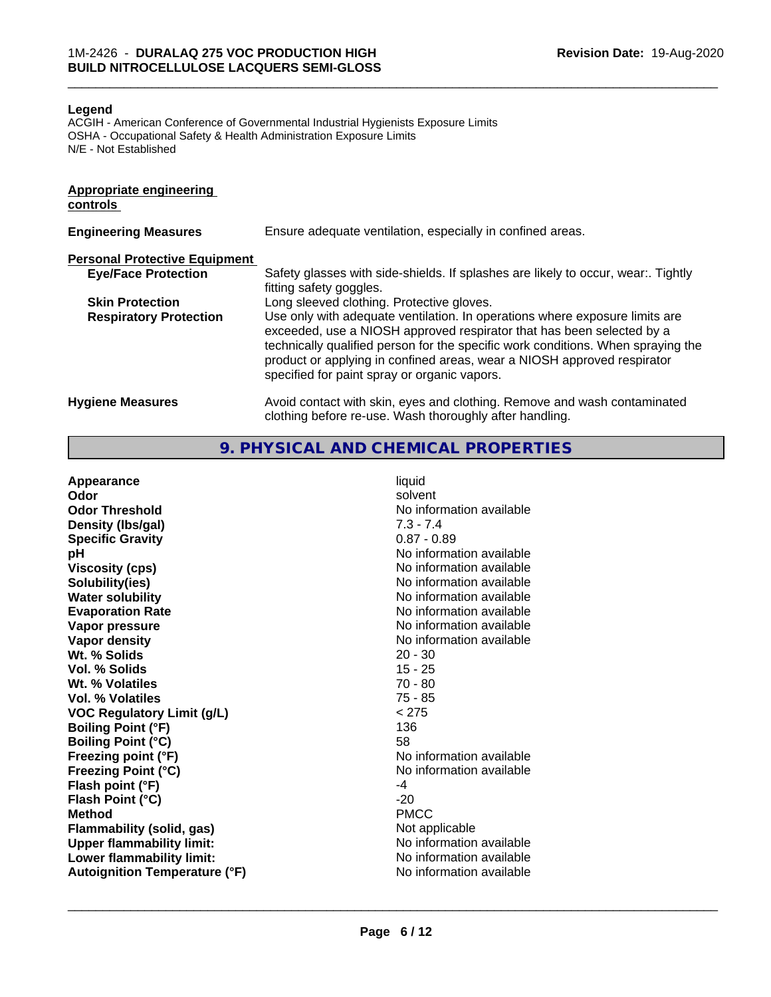#### **Legend**

ACGIH - American Conference of Governmental Industrial Hygienists Exposure Limits OSHA - Occupational Safety & Health Administration Exposure Limits N/E - Not Established

#### **Appropriate engineering controls**

| <b>Engineering Measures</b>          | Ensure adequate ventilation, especially in confined areas.                                                                                                                                                                                                                                                                                                          |
|--------------------------------------|---------------------------------------------------------------------------------------------------------------------------------------------------------------------------------------------------------------------------------------------------------------------------------------------------------------------------------------------------------------------|
| <b>Personal Protective Equipment</b> |                                                                                                                                                                                                                                                                                                                                                                     |
| <b>Eye/Face Protection</b>           | Safety glasses with side-shields. If splashes are likely to occur, wear:. Tightly<br>fitting safety goggles.                                                                                                                                                                                                                                                        |
| <b>Skin Protection</b>               | Long sleeved clothing. Protective gloves.                                                                                                                                                                                                                                                                                                                           |
| <b>Respiratory Protection</b>        | Use only with adequate ventilation. In operations where exposure limits are<br>exceeded, use a NIOSH approved respirator that has been selected by a<br>technically qualified person for the specific work conditions. When spraying the<br>product or applying in confined areas, wear a NIOSH approved respirator<br>specified for paint spray or organic vapors. |
| <b>Hygiene Measures</b>              | Avoid contact with skin, eyes and clothing. Remove and wash contaminated<br>clothing before re-use. Wash thoroughly after handling.                                                                                                                                                                                                                                 |

**9. PHYSICAL AND CHEMICAL PROPERTIES**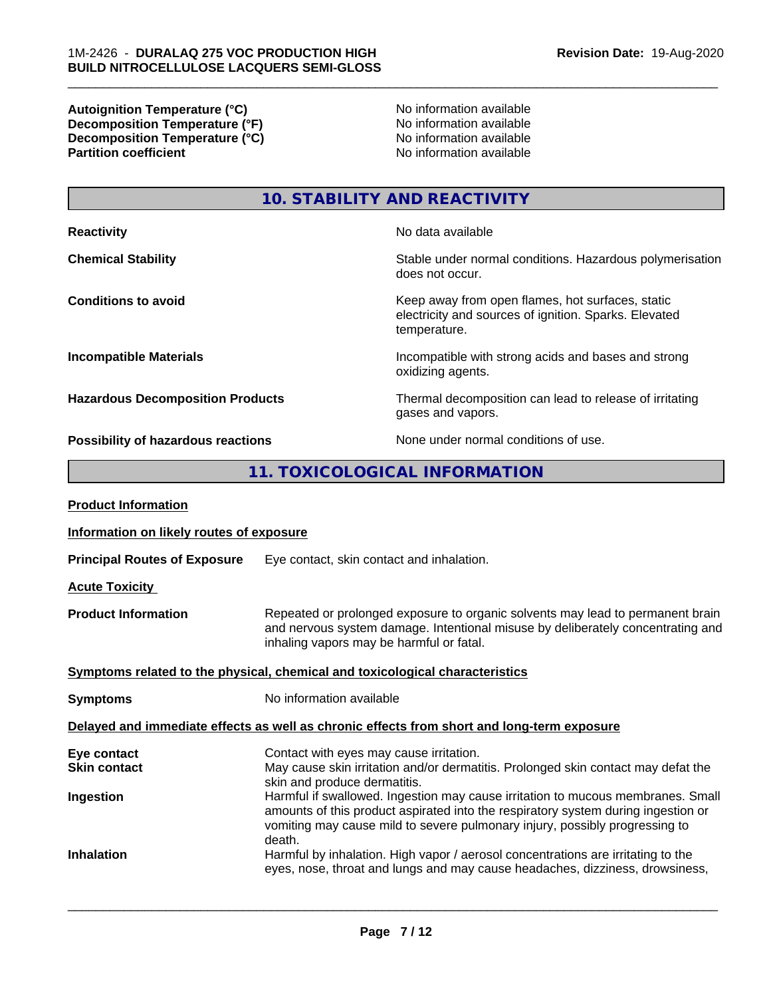**Autoignition Temperature (°C)**<br> **Decomposition Temperature (°F)** No information available<br>
No information available **Decomposition Temperature (°F)**<br> **Decomposition Temperature (°C)**<br>
No information available<br>
No information available **Decomposition Temperature (°C)**<br>Partition coefficient

**No information available** 

\_\_\_\_\_\_\_\_\_\_\_\_\_\_\_\_\_\_\_\_\_\_\_\_\_\_\_\_\_\_\_\_\_\_\_\_\_\_\_\_\_\_\_\_\_\_\_\_\_\_\_\_\_\_\_\_\_\_\_\_\_\_\_\_\_\_\_\_\_\_\_\_\_\_\_\_\_\_\_\_\_\_\_\_\_\_\_\_\_\_\_\_\_

**10. STABILITY AND REACTIVITY**

| <b>Reactivity</b>                         | No data available                                                                                                         |
|-------------------------------------------|---------------------------------------------------------------------------------------------------------------------------|
| <b>Chemical Stability</b>                 | Stable under normal conditions. Hazardous polymerisation<br>does not occur.                                               |
| <b>Conditions to avoid</b>                | Keep away from open flames, hot surfaces, static<br>electricity and sources of ignition. Sparks. Elevated<br>temperature. |
| <b>Incompatible Materials</b>             | Incompatible with strong acids and bases and strong<br>oxidizing agents.                                                  |
| <b>Hazardous Decomposition Products</b>   | Thermal decomposition can lead to release of irritating<br>gases and vapors.                                              |
| <b>Possibility of hazardous reactions</b> | None under normal conditions of use.                                                                                      |

# **11. TOXICOLOGICAL INFORMATION**

| <b>Product Information</b>                                                                 |                                                                                                                                                                                                                                                               |  |
|--------------------------------------------------------------------------------------------|---------------------------------------------------------------------------------------------------------------------------------------------------------------------------------------------------------------------------------------------------------------|--|
| Information on likely routes of exposure                                                   |                                                                                                                                                                                                                                                               |  |
| <b>Principal Routes of Exposure</b>                                                        | Eye contact, skin contact and inhalation.                                                                                                                                                                                                                     |  |
| <b>Acute Toxicity</b>                                                                      |                                                                                                                                                                                                                                                               |  |
| <b>Product Information</b>                                                                 | Repeated or prolonged exposure to organic solvents may lead to permanent brain<br>and nervous system damage. Intentional misuse by deliberately concentrating and<br>inhaling vapors may be harmful or fatal.                                                 |  |
| Symptoms related to the physical, chemical and toxicological characteristics               |                                                                                                                                                                                                                                                               |  |
| <b>Symptoms</b>                                                                            | No information available                                                                                                                                                                                                                                      |  |
| Delayed and immediate effects as well as chronic effects from short and long-term exposure |                                                                                                                                                                                                                                                               |  |
| Eye contact<br><b>Skin contact</b>                                                         | Contact with eyes may cause irritation.<br>May cause skin irritation and/or dermatitis. Prolonged skin contact may defat the<br>skin and produce dermatitis.                                                                                                  |  |
| Ingestion                                                                                  | Harmful if swallowed. Ingestion may cause irritation to mucous membranes. Small<br>amounts of this product aspirated into the respiratory system during ingestion or<br>vomiting may cause mild to severe pulmonary injury, possibly progressing to<br>death. |  |
| <b>Inhalation</b>                                                                          | Harmful by inhalation. High vapor / aerosol concentrations are irritating to the<br>eyes, nose, throat and lungs and may cause headaches, dizziness, drowsiness,                                                                                              |  |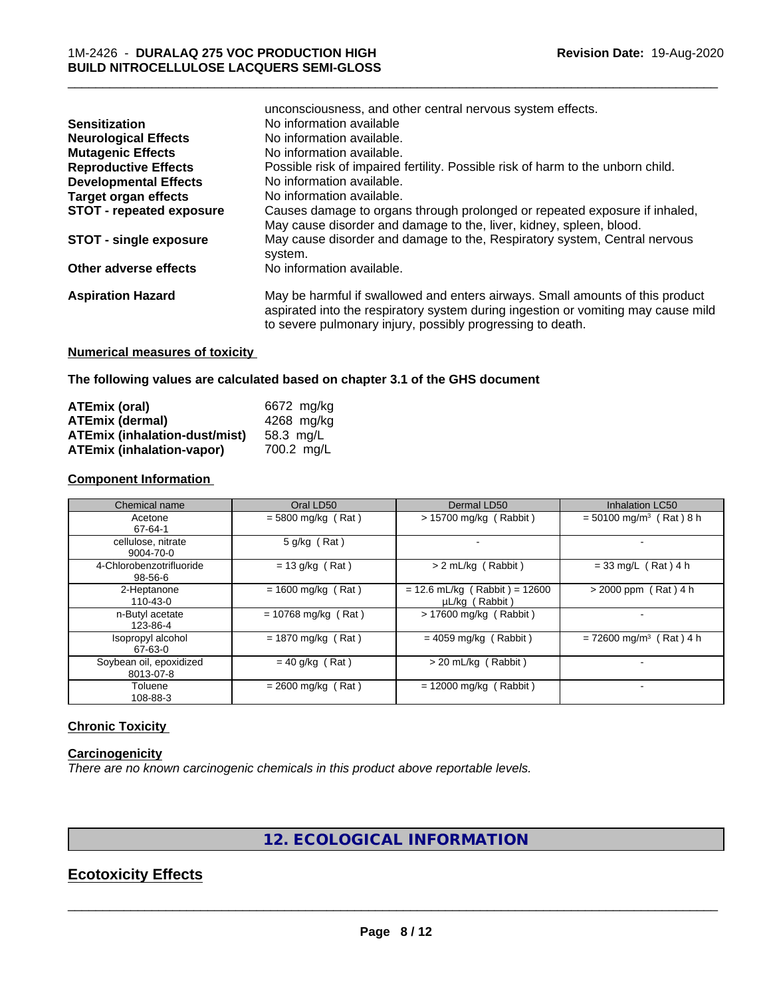|                                 | unconsciousness, and other central nervous system effects.                        |
|---------------------------------|-----------------------------------------------------------------------------------|
| <b>Sensitization</b>            | No information available                                                          |
| <b>Neurological Effects</b>     | No information available.                                                         |
| <b>Mutagenic Effects</b>        | No information available.                                                         |
| <b>Reproductive Effects</b>     | Possible risk of impaired fertility. Possible risk of harm to the unborn child.   |
| <b>Developmental Effects</b>    | No information available.                                                         |
| Target organ effects            | No information available.                                                         |
| <b>STOT - repeated exposure</b> | Causes damage to organs through prolonged or repeated exposure if inhaled,        |
|                                 | May cause disorder and damage to the, liver, kidney, spleen, blood.               |
| <b>STOT - single exposure</b>   | May cause disorder and damage to the, Respiratory system, Central nervous         |
|                                 | system.                                                                           |
| Other adverse effects           | No information available.                                                         |
| <b>Aspiration Hazard</b>        | May be harmful if swallowed and enters airways. Small amounts of this product     |
|                                 | aspirated into the respiratory system during ingestion or vomiting may cause mild |
|                                 | to severe pulmonary injury, possibly progressing to death.                        |
|                                 |                                                                                   |

\_\_\_\_\_\_\_\_\_\_\_\_\_\_\_\_\_\_\_\_\_\_\_\_\_\_\_\_\_\_\_\_\_\_\_\_\_\_\_\_\_\_\_\_\_\_\_\_\_\_\_\_\_\_\_\_\_\_\_\_\_\_\_\_\_\_\_\_\_\_\_\_\_\_\_\_\_\_\_\_\_\_\_\_\_\_\_\_\_\_\_\_\_

# **Numerical measures of toxicity**

**The following values are calculated based on chapter 3.1 of the GHS document**

| ATEmix (oral)                    | 6672 mg/kg |
|----------------------------------|------------|
| <b>ATEmix (dermal)</b>           | 4268 mg/kg |
| ATEmix (inhalation-dust/mist)    | 58.3 ma/L  |
| <b>ATEmix (inhalation-vapor)</b> | 700.2 ma/L |

# **Component Information**

| Chemical name                             | Oral LD50             | Dermal LD50                                       | Inhalation LC50                       |
|-------------------------------------------|-----------------------|---------------------------------------------------|---------------------------------------|
| Acetone<br>67-64-1                        | $=$ 5800 mg/kg (Rat)  | > 15700 mg/kg (Rabbit)                            | $=$ 50100 mg/m <sup>3</sup> (Rat) 8 h |
| cellulose, nitrate<br>9004-70-0           | $5$ g/kg (Rat)        | $\overline{\phantom{a}}$                          |                                       |
| 4-Chlorobenzotrifluoride<br>$98 - 56 - 6$ | $= 13$ g/kg (Rat)     | > 2 mL/kg (Rabbit)                                | $= 33$ mg/L (Rat) 4 h                 |
| 2-Heptanone<br>$110 - 43 - 0$             | $= 1600$ mg/kg (Rat)  | $= 12.6$ mL/kg (Rabbit) = 12600<br>µL/kg (Rabbit) | $> 2000$ ppm (Rat) 4 h                |
| n-Butyl acetate<br>123-86-4               | $= 10768$ mg/kg (Rat) | $> 17600$ mg/kg (Rabbit)                          |                                       |
| Isopropyl alcohol<br>67-63-0              | $= 1870$ mg/kg (Rat)  | $= 4059$ mg/kg (Rabbit)                           | $= 72600$ mg/m <sup>3</sup> (Rat) 4 h |
| Soybean oil, epoxidized<br>8013-07-8      | $= 40$ g/kg (Rat)     | > 20 mL/kg (Rabbit)                               |                                       |
| Toluene<br>108-88-3                       | $= 2600$ mg/kg (Rat)  | $= 12000$ mg/kg (Rabbit)                          |                                       |

#### **Chronic Toxicity**

#### **Carcinogenicity**

*There are no known carcinogenic chemicals in this product above reportable levels.*

# **12. ECOLOGICAL INFORMATION**

# **Ecotoxicity Effects**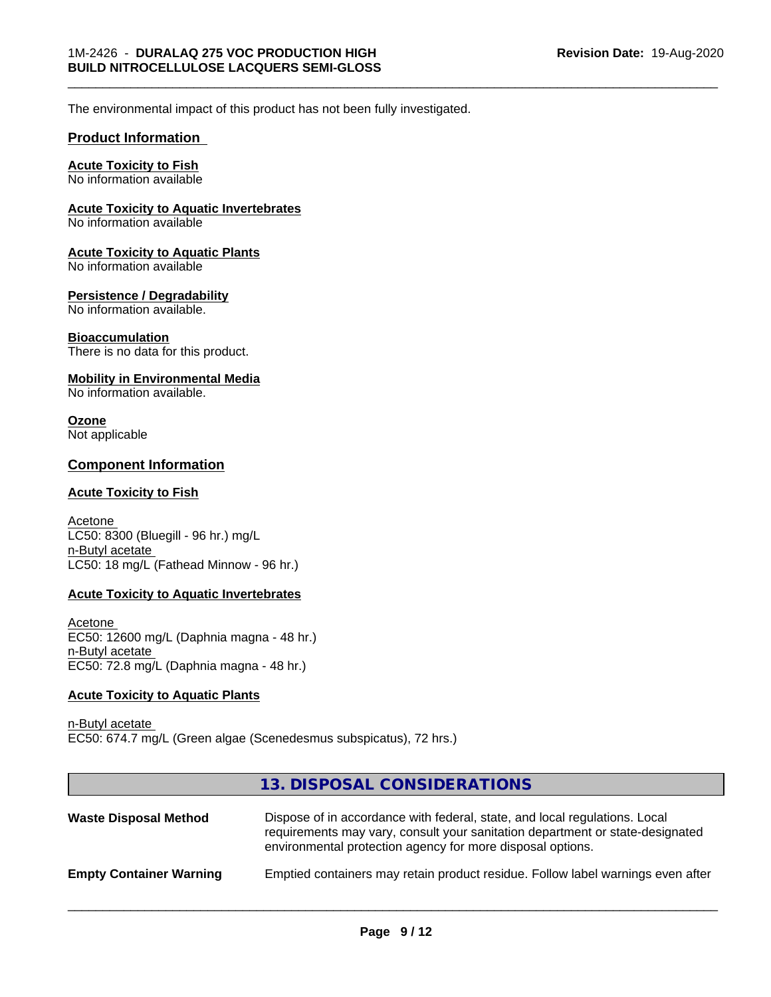\_\_\_\_\_\_\_\_\_\_\_\_\_\_\_\_\_\_\_\_\_\_\_\_\_\_\_\_\_\_\_\_\_\_\_\_\_\_\_\_\_\_\_\_\_\_\_\_\_\_\_\_\_\_\_\_\_\_\_\_\_\_\_\_\_\_\_\_\_\_\_\_\_\_\_\_\_\_\_\_\_\_\_\_\_\_\_\_\_\_\_\_\_

The environmental impact of this product has not been fully investigated.

#### **Product Information**

# **Acute Toxicity to Fish**

No information available

#### **Acute Toxicity to Aquatic Invertebrates**

No information available

#### **Acute Toxicity to Aquatic Plants**

No information available

#### **Persistence / Degradability**

No information available.

#### **Bioaccumulation**

There is no data for this product.

#### **Mobility in Environmental Media**

No information available.

#### **Ozone** Not applicable

#### **Component Information**

#### **Acute Toxicity to Fish**

Acetone LC50: 8300 (Bluegill - 96 hr.) mg/L n-Butyl acetate LC50: 18 mg/L (Fathead Minnow - 96 hr.)

#### **Acute Toxicity to Aquatic Invertebrates**

Acetone EC50: 12600 mg/L (Daphnia magna - 48 hr.) n-Butyl acetate EC50: 72.8 mg/L (Daphnia magna - 48 hr.)

#### **Acute Toxicity to Aquatic Plants**

n-Butyl acetate EC50: 674.7 mg/L (Green algae (Scenedesmus subspicatus), 72 hrs.)

# **13. DISPOSAL CONSIDERATIONS**

| <b>Waste Disposal Method</b>   | Dispose of in accordance with federal, state, and local regulations. Local<br>requirements may vary, consult your sanitation department or state-designated<br>environmental protection agency for more disposal options. |
|--------------------------------|---------------------------------------------------------------------------------------------------------------------------------------------------------------------------------------------------------------------------|
| <b>Empty Container Warning</b> | Emptied containers may retain product residue. Follow label warnings even after                                                                                                                                           |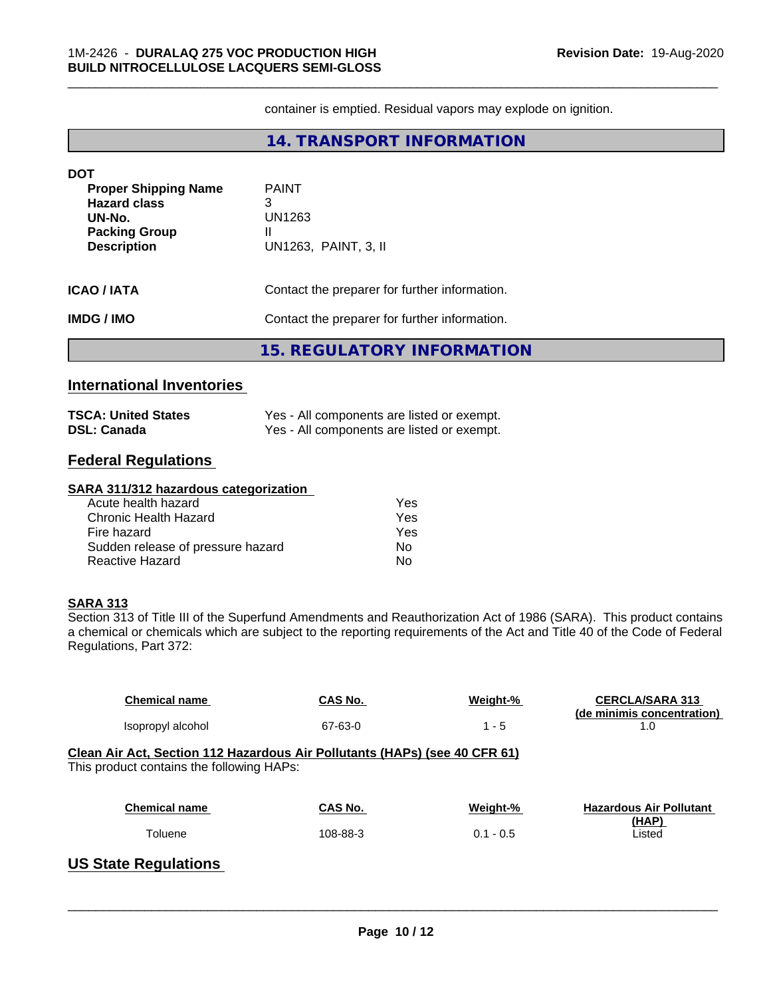container is emptied. Residual vapors may explode on ignition.

# **14. TRANSPORT INFORMATION**

| <b>DOT</b><br><b>Proper Shipping Name</b><br><b>Hazard class</b><br>UN-No.<br><b>Packing Group</b><br><b>Description</b> | <b>PAINT</b><br>3<br>UN1263<br>UN1263, PAINT, 3, II |  |
|--------------------------------------------------------------------------------------------------------------------------|-----------------------------------------------------|--|
| <b>ICAO/IATA</b>                                                                                                         | Contact the preparer for further information.       |  |
| Contact the preparer for further information.<br><b>IMDG/IMO</b>                                                         |                                                     |  |
|                                                                                                                          | <b>15. REGULATORY INFORMATION</b>                   |  |

# **International Inventories**

| <b>TSCA: United States</b> | Yes - All components are listed or exempt. |
|----------------------------|--------------------------------------------|
| <b>DSL: Canada</b>         | Yes - All components are listed or exempt. |

# **Federal Regulations**

#### **SARA 311/312 hazardous categorization**

| Acute health hazard               | Yes |
|-----------------------------------|-----|
| Chronic Health Hazard             | Yes |
| Fire hazard                       | Yes |
| Sudden release of pressure hazard | N٥  |
| Reactive Hazard                   | N٥  |

#### **SARA 313**

Section 313 of Title III of the Superfund Amendments and Reauthorization Act of 1986 (SARA). This product contains a chemical or chemicals which are subject to the reporting requirements of the Act and Title 40 of the Code of Federal Regulations, Part 372:

| <b>Chemical name</b>                                                                                                    | CAS No.        | Weight-%    | <b>CERCLA/SARA 313</b><br>(de minimis concentration) |  |
|-------------------------------------------------------------------------------------------------------------------------|----------------|-------------|------------------------------------------------------|--|
| Isopropyl alcohol                                                                                                       | 67-63-0        | $1 - 5$     | 1.0                                                  |  |
| Clean Air Act, Section 112 Hazardous Air Pollutants (HAPs) (see 40 CFR 61)<br>This product contains the following HAPs: |                |             |                                                      |  |
| <b>Chemical name</b>                                                                                                    | <b>CAS No.</b> | Weight-%    | <b>Hazardous Air Pollutant</b>                       |  |
| Toluene                                                                                                                 | 108-88-3       | $0.1 - 0.5$ | (HAP)<br>Listed                                      |  |
| <b>US State Regulations</b>                                                                                             |                |             |                                                      |  |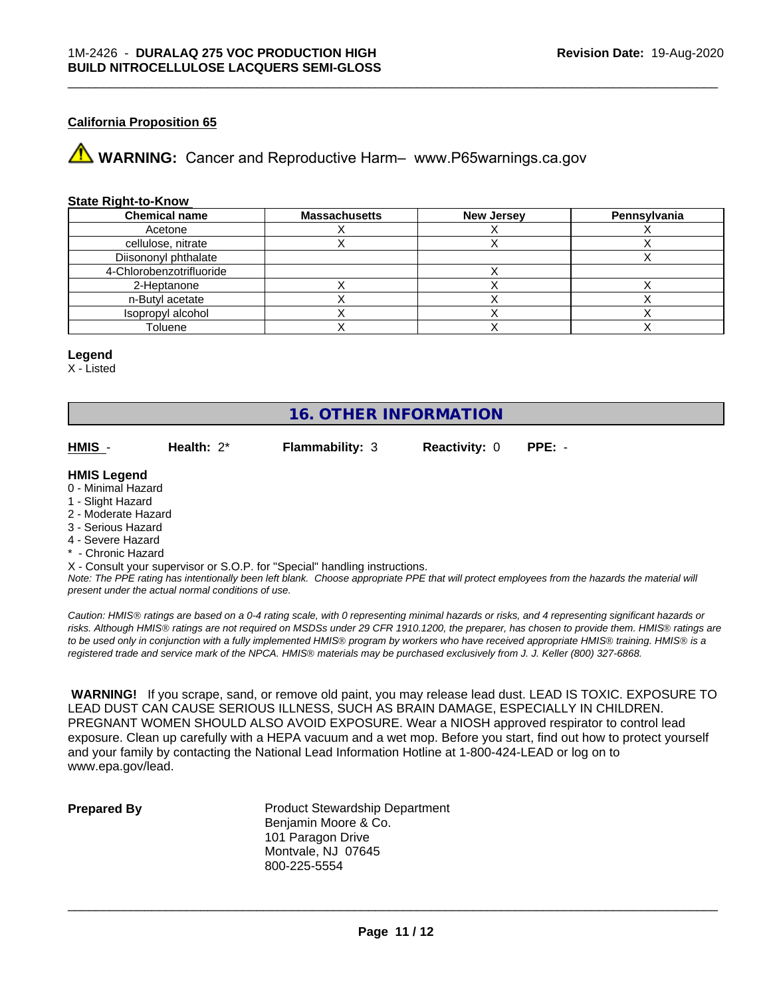#### **California Proposition 65**

**A** WARNING: Cancer and Reproductive Harm– www.P65warnings.ca.gov

#### **State Right-to-Know**

| <b>Chemical name</b>     | <b>Massachusetts</b> | <b>New Jersey</b> | <b>Pennsylvania</b> |
|--------------------------|----------------------|-------------------|---------------------|
| Acetone                  |                      |                   |                     |
| cellulose, nitrate       |                      |                   |                     |
| Diisononyl phthalate     |                      |                   |                     |
| 4-Chlorobenzotrifluoride |                      |                   |                     |
| 2-Heptanone              |                      |                   |                     |
| n-Butyl acetate          |                      |                   |                     |
| Isopropyl alcohol        |                      |                   |                     |
| Toluene                  |                      |                   |                     |

#### **Legend**

X - Listed

# **16. OTHER INFORMATION**

**HMIS** - **Health:** 2\* **Flammability:** 3 **Reactivity:** 0 **PPE:** -

#### **HMIS Legend**

- 0 Minimal Hazard
- 1 Slight Hazard
- 2 Moderate Hazard
- 3 Serious Hazard
- 4 Severe Hazard
- Chronic Hazard

X - Consult your supervisor or S.O.P. for "Special" handling instructions.

*Note: The PPE rating has intentionally been left blank. Choose appropriate PPE that will protect employees from the hazards the material will present under the actual normal conditions of use.*

*Caution: HMISÒ ratings are based on a 0-4 rating scale, with 0 representing minimal hazards or risks, and 4 representing significant hazards or risks. Although HMISÒ ratings are not required on MSDSs under 29 CFR 1910.1200, the preparer, has chosen to provide them. HMISÒ ratings are to be used only in conjunction with a fully implemented HMISÒ program by workers who have received appropriate HMISÒ training. HMISÒ is a registered trade and service mark of the NPCA. HMISÒ materials may be purchased exclusively from J. J. Keller (800) 327-6868.*

 **WARNING!** If you scrape, sand, or remove old paint, you may release lead dust. LEAD IS TOXIC. EXPOSURE TO LEAD DUST CAN CAUSE SERIOUS ILLNESS, SUCH AS BRAIN DAMAGE, ESPECIALLY IN CHILDREN. PREGNANT WOMEN SHOULD ALSO AVOID EXPOSURE.Wear a NIOSH approved respirator to control lead exposure. Clean up carefully with a HEPA vacuum and a wet mop. Before you start, find out how to protect yourself and your family by contacting the National Lead Information Hotline at 1-800-424-LEAD or log on to www.epa.gov/lead.

**Prepared By** Product Stewardship Department Benjamin Moore & Co. 101 Paragon Drive Montvale, NJ 07645 800-225-5554